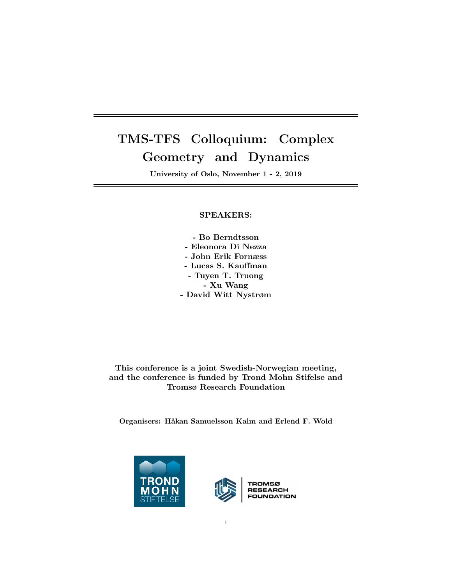# TMS-TFS Colloquium: Complex Geometry and Dynamics

University of Oslo, November 1 - 2, 2019

# SPEAKERS:

- Bo Berndtsson - Eleonora Di Nezza - John Erik Fornæss - Lucas S. Kauffman - Tuyen T. Truong - Xu Wang - David Witt Nystrøm

This conference is a joint Swedish-Norwegian meeting, and the conference is funded by Trond Mohn Stifelse and Tromsø Research Foundation

Organisers: Håkan Samuelsson Kalm and Erlend F. Wold





**RESEARCH** FOUNDATION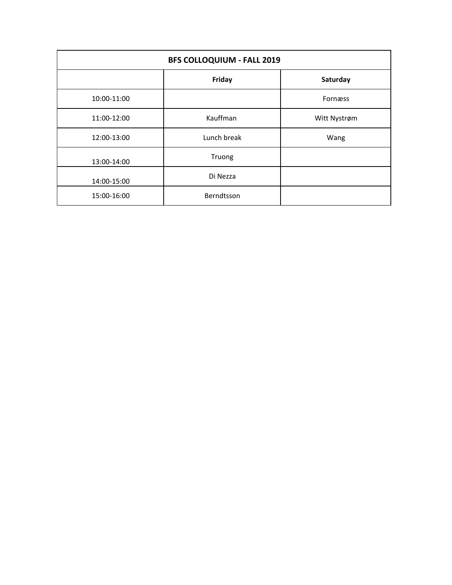| <b>BFS COLLOQUIUM - FALL 2019</b> |             |              |
|-----------------------------------|-------------|--------------|
|                                   | Friday      | Saturday     |
| 10:00-11:00                       |             | Fornæss      |
| 11:00-12:00                       | Kauffman    | Witt Nystrøm |
| 12:00-13:00                       | Lunch break | Wang         |
| 13:00-14:00                       | Truong      |              |
| 14:00-15:00                       | Di Nezza    |              |
| 15:00-16:00                       | Berndtsson  |              |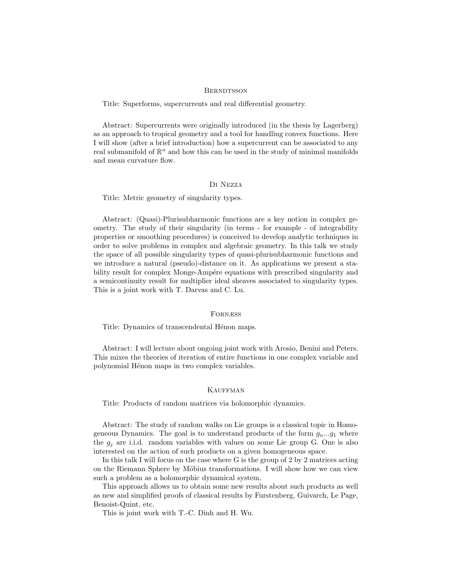#### **BERNDTSSON**

Title: Superforms, supercurrents and real differential geometry.

Abstract: Supercurrents were originally introduced (in the thesis by Lagerberg) as an approach to tropical geometry and a tool for handling convex functions. Here I will show (after a brief introduction) how a supercurrent can be associated to any real submanifold of  $\mathbb{R}^n$  and how this can be used in the study of minimal manifolds and mean curvature flow.

#### Di Nezza

Title: Metric geometry of singularity types.

Abstract: (Quasi)-Plurisubharmonic functions are a key notion in complex geometry. The study of their singularity (in terms - for example - of integrability properties or smoothing procedures) is conceived to develop analytic techniques in order to solve problems in complex and algebraic geometry. In this talk we study the space of all possible singularity types of quasi-plurisubharmonic functions and we introduce a natural (pseudo)-distance on it. As applications we present a stability result for complex Monge-Ampére equations with prescribed singularity and a semicontinuity result for multiplier ideal sheaves associated to singularity types. This is a joint work with T. Darvas and C. Lu.

#### Fornæss

Title: Dynamics of transcendental Hénon maps.

Abstract: I will lecture about ongoing joint work with Arosio, Benini and Peters. This mixes the theories of iteration of entire functions in one complex variable and polynomial Hénon maps in two complex variables.

### **KAUFFMAN**

Title: Products of random matrices via holomorphic dynamics.

Abstract: The study of random walks on Lie groups is a classical topic in Homogeneous Dynamics. The goal is to understand products of the form  $g_n...g_1$  where the  $g_i$  are i.i.d. random variables with values on some Lie group G. One is also interested on the action of such products on a given homogeneous space.

In this talk I will focus on the case where G is the group of 2 by 2 matrices acting on the Riemann Sphere by Möbius transformations. I will show how we can view such a problem as a holomorphic dynamical system.

This approach allows us to obtain some new results about such products as well as new and simplified proofs of classical results by Furstenberg, Guivarch, Le Page, Benoist-Quint, etc.

This is joint work with T.-C. Dinh and H. Wu.